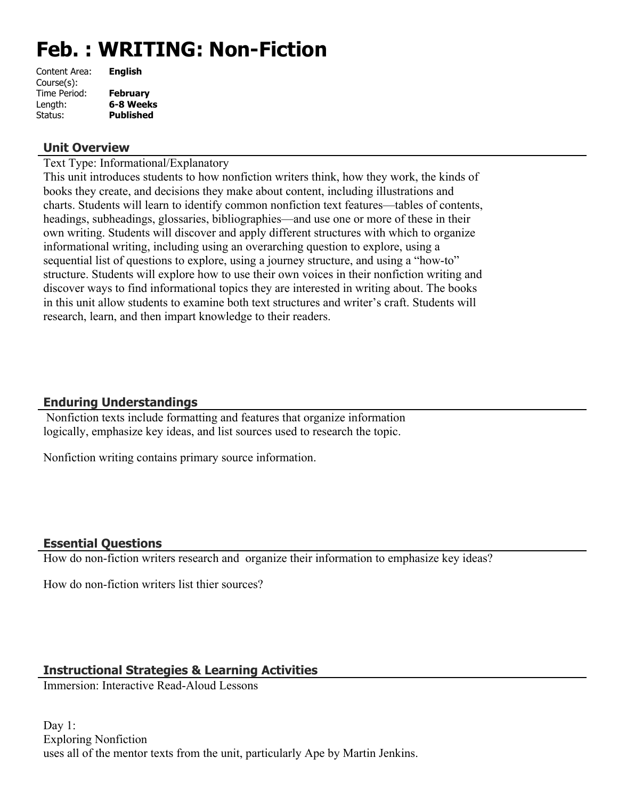# **Feb. : WRITING: Non-Fiction**

| Content Area: | <b>English</b>   |
|---------------|------------------|
| Course(s):    |                  |
| Time Period:  | <b>February</b>  |
| Length:       | 6-8 Weeks        |
| Status:       | <b>Published</b> |
|               |                  |

#### **Unit Overview**

Text Type: Informational/Explanatory

This unit introduces students to how nonfiction writers think, how they work, the kinds of books they create, and decisions they make about content, including illustrations and charts. Students will learn to identify common nonfiction text features—tables of contents, headings, subheadings, glossaries, bibliographies—and use one or more of these in their own writing. Students will discover and apply different structures with which to organize informational writing, including using an overarching question to explore, using a sequential list of questions to explore, using a journey structure, and using a "how-to" structure. Students will explore how to use their own voices in their nonfiction writing and discover ways to find informational topics they are interested in writing about. The books in this unit allow students to examine both text structures and writer's craft. Students will research, learn, and then impart knowledge to their readers.

# **Enduring Understandings**

 Nonfiction texts include formatting and features that organize information logically, emphasize key ideas, and list sources used to research the topic.

Nonfiction writing contains primary source information.

# **Essential Questions**

How do non-fiction writers research and organize their information to emphasize key ideas?

How do non-fiction writers list thier sources?

# **Instructional Strategies & Learning Activities**

Immersion: Interactive Read-Aloud Lessons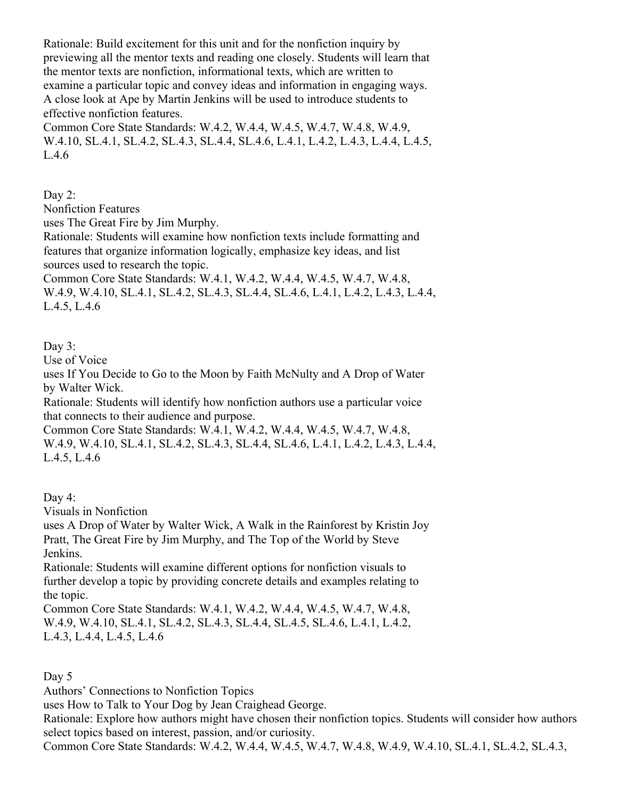Rationale: Build excitement for this unit and for the nonfiction inquiry by previewing all the mentor texts and reading one closely. Students will learn that the mentor texts are nonfiction, informational texts, which are written to examine a particular topic and convey ideas and information in engaging ways. A close look at Ape by Martin Jenkins will be used to introduce students to effective nonfiction features.

Common Core State Standards: W.4.2, W.4.4, W.4.5, W.4.7, W.4.8, W.4.9, W.4.10, SL.4.1, SL.4.2, SL.4.3, SL.4.4, SL.4.6, L.4.1, L.4.2, L.4.3, L.4.4, L.4.5, L.4.6

Day 2:

Nonfiction Features

uses The Great Fire by Jim Murphy.

Rationale: Students will examine how nonfiction texts include formatting and features that organize information logically, emphasize key ideas, and list sources used to research the topic.

Common Core State Standards: W.4.1, W.4.2, W.4.4, W.4.5, W.4.7, W.4.8, W.4.9, W.4.10, SL.4.1, SL.4.2, SL.4.3, SL.4.4, SL.4.6, L.4.1, L.4.2, L.4.3, L.4.4, L.4.5, L.4.6

#### Day 3:

Use of Voice

uses If You Decide to Go to the Moon by Faith McNulty and A Drop of Water by Walter Wick.

Rationale: Students will identify how nonfiction authors use a particular voice that connects to their audience and purpose.

Common Core State Standards: W.4.1, W.4.2, W.4.4, W.4.5, W.4.7, W.4.8, W.4.9, W.4.10, SL.4.1, SL.4.2, SL.4.3, SL.4.4, SL.4.6, L.4.1, L.4.2, L.4.3, L.4.4, L.4.5, L.4.6

Day 4:

Visuals in Nonfiction

uses A Drop of Water by Walter Wick, A Walk in the Rainforest by Kristin Joy Pratt, The Great Fire by Jim Murphy, and The Top of the World by Steve Jenkins.

Rationale: Students will examine different options for nonfiction visuals to further develop a topic by providing concrete details and examples relating to the topic.

Common Core State Standards: W.4.1, W.4.2, W.4.4, W.4.5, W.4.7, W.4.8, W.4.9, W.4.10, SL.4.1, SL.4.2, SL.4.3, SL.4.4, SL.4.5, SL.4.6, L.4.1, L.4.2, L.4.3, L.4.4, L.4.5, L.4.6

Day 5

Authors' Connections to Nonfiction Topics

uses How to Talk to Your Dog by Jean Craighead George.

Rationale: Explore how authors might have chosen their nonfiction topics. Students will consider how authors select topics based on interest, passion, and/or curiosity.

Common Core State Standards: W.4.2, W.4.4, W.4.5, W.4.7, W.4.8, W.4.9, W.4.10, SL.4.1, SL.4.2, SL.4.3,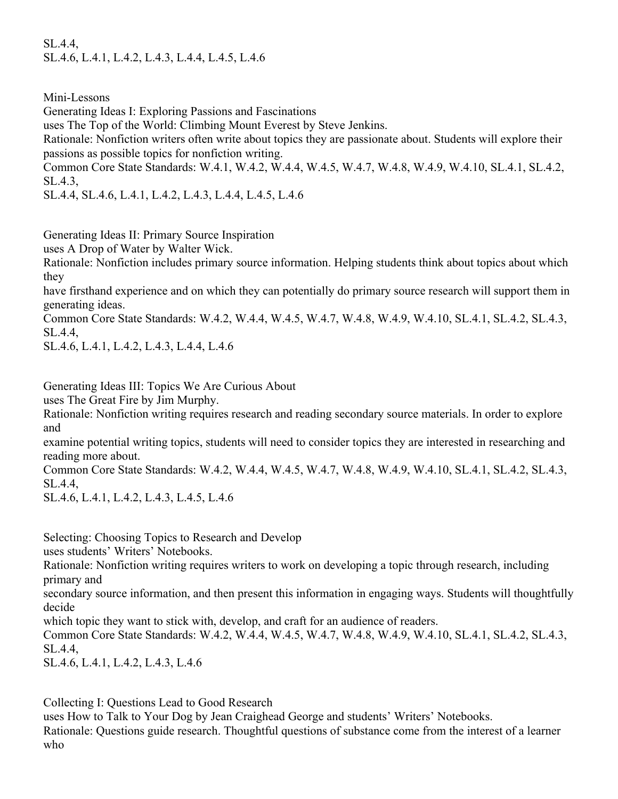SL.4.4, SL.4.6, L.4.1, L.4.2, L.4.3, L.4.4, L.4.5, L.4.6

Mini-Lessons

Generating Ideas I: Exploring Passions and Fascinations

uses The Top of the World: Climbing Mount Everest by Steve Jenkins.

Rationale: Nonfiction writers often write about topics they are passionate about. Students will explore their passions as possible topics for nonfiction writing.

Common Core State Standards: W.4.1, W.4.2, W.4.4, W.4.5, W.4.7, W.4.8, W.4.9, W.4.10, SL.4.1, SL.4.2, SL.4.3,

SL.4.4, SL.4.6, L.4.1, L.4.2, L.4.3, L.4.4, L.4.5, L.4.6

Generating Ideas II: Primary Source Inspiration

uses A Drop of Water by Walter Wick.

Rationale: Nonfiction includes primary source information. Helping students think about topics about which they

have firsthand experience and on which they can potentially do primary source research will support them in generating ideas.

Common Core State Standards: W.4.2, W.4.4, W.4.5, W.4.7, W.4.8, W.4.9, W.4.10, SL.4.1, SL.4.2, SL.4.3, SL.4.4,

SL.4.6, L.4.1, L.4.2, L.4.3, L.4.4, L.4.6

Generating Ideas III: Topics We Are Curious About

uses The Great Fire by Jim Murphy.

Rationale: Nonfiction writing requires research and reading secondary source materials. In order to explore and

examine potential writing topics, students will need to consider topics they are interested in researching and reading more about.

Common Core State Standards: W.4.2, W.4.4, W.4.5, W.4.7, W.4.8, W.4.9, W.4.10, SL.4.1, SL.4.2, SL.4.3, SL.4.4,

SL.4.6, L.4.1, L.4.2, L.4.3, L.4.5, L.4.6

Selecting: Choosing Topics to Research and Develop

uses students' Writers' Notebooks.

Rationale: Nonfiction writing requires writers to work on developing a topic through research, including primary and

secondary source information, and then present this information in engaging ways. Students will thoughtfully decide

which topic they want to stick with, develop, and craft for an audience of readers.

Common Core State Standards: W.4.2, W.4.4, W.4.5, W.4.7, W.4.8, W.4.9, W.4.10, SL.4.1, SL.4.2, SL.4.3, SL.4.4,

SL.4.6, L.4.1, L.4.2, L.4.3, L.4.6

Collecting I: Questions Lead to Good Research

uses How to Talk to Your Dog by Jean Craighead George and students' Writers' Notebooks. Rationale: Questions guide research. Thoughtful questions of substance come from the interest of a learner who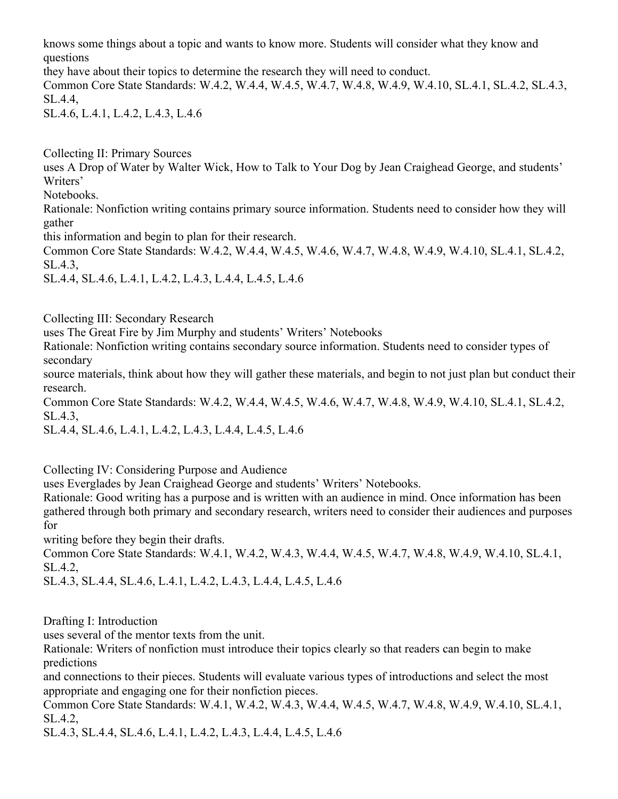knows some things about a topic and wants to know more. Students will consider what they know and questions

they have about their topics to determine the research they will need to conduct.

Common Core State Standards: W.4.2, W.4.4, W.4.5, W.4.7, W.4.8, W.4.9, W.4.10, SL.4.1, SL.4.2, SL.4.3, SL.4.4,

SL.4.6, L.4.1, L.4.2, L.4.3, L.4.6

Collecting II: Primary Sources

uses A Drop of Water by Walter Wick, How to Talk to Your Dog by Jean Craighead George, and students' Writers'

Notebooks.

Rationale: Nonfiction writing contains primary source information. Students need to consider how they will gather

this information and begin to plan for their research.

Common Core State Standards: W.4.2, W.4.4, W.4.5, W.4.6, W.4.7, W.4.8, W.4.9, W.4.10, SL.4.1, SL.4.2, SL.4.3,

SL.4.4, SL.4.6, L.4.1, L.4.2, L.4.3, L.4.4, L.4.5, L.4.6

Collecting III: Secondary Research

uses The Great Fire by Jim Murphy and students' Writers' Notebooks

Rationale: Nonfiction writing contains secondary source information. Students need to consider types of secondary

source materials, think about how they will gather these materials, and begin to not just plan but conduct their research.

Common Core State Standards: W.4.2, W.4.4, W.4.5, W.4.6, W.4.7, W.4.8, W.4.9, W.4.10, SL.4.1, SL.4.2, SL.4.3,

SL.4.4, SL.4.6, L.4.1, L.4.2, L.4.3, L.4.4, L.4.5, L.4.6

Collecting IV: Considering Purpose and Audience

uses Everglades by Jean Craighead George and students' Writers' Notebooks.

Rationale: Good writing has a purpose and is written with an audience in mind. Once information has been gathered through both primary and secondary research, writers need to consider their audiences and purposes for

writing before they begin their drafts.

Common Core State Standards: W.4.1, W.4.2, W.4.3, W.4.4, W.4.5, W.4.7, W.4.8, W.4.9, W.4.10, SL.4.1, SL.4.2,

SL.4.3, SL.4.4, SL.4.6, L.4.1, L.4.2, L.4.3, L.4.4, L.4.5, L.4.6

Drafting I: Introduction

uses several of the mentor texts from the unit.

Rationale: Writers of nonfiction must introduce their topics clearly so that readers can begin to make predictions

and connections to their pieces. Students will evaluate various types of introductions and select the most appropriate and engaging one for their nonfiction pieces.

Common Core State Standards: W.4.1, W.4.2, W.4.3, W.4.4, W.4.5, W.4.7, W.4.8, W.4.9, W.4.10, SL.4.1, SL.4.2,

SL.4.3, SL.4.4, SL.4.6, L.4.1, L.4.2, L.4.3, L.4.4, L.4.5, L.4.6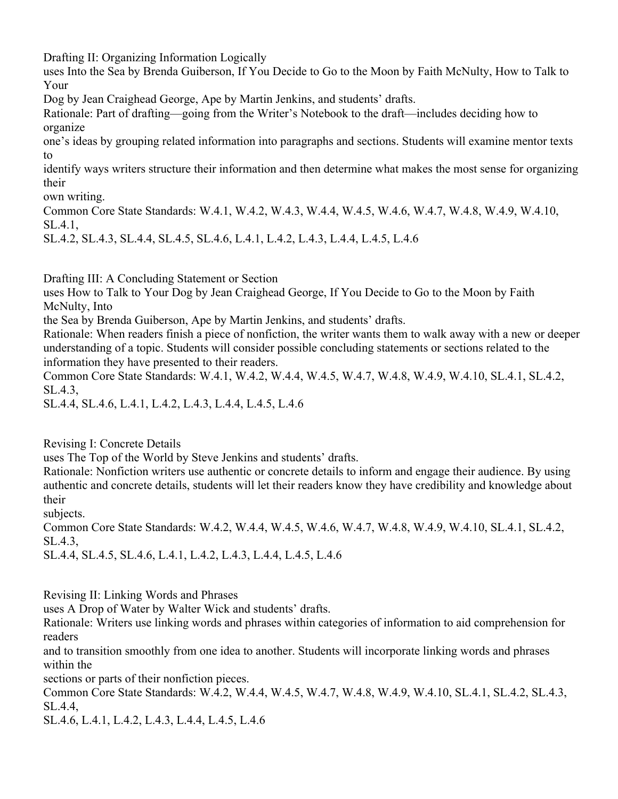Drafting II: Organizing Information Logically

uses Into the Sea by Brenda Guiberson, If You Decide to Go to the Moon by Faith McNulty, How to Talk to Your

Dog by Jean Craighead George, Ape by Martin Jenkins, and students' drafts.

Rationale: Part of drafting—going from the Writer's Notebook to the draft—includes deciding how to organize

one's ideas by grouping related information into paragraphs and sections. Students will examine mentor texts to

identify ways writers structure their information and then determine what makes the most sense for organizing their

own writing.

Common Core State Standards: W.4.1, W.4.2, W.4.3, W.4.4, W.4.5, W.4.6, W.4.7, W.4.8, W.4.9, W.4.10, SL.4.1,

SL.4.2, SL.4.3, SL.4.4, SL.4.5, SL.4.6, L.4.1, L.4.2, L.4.3, L.4.4, L.4.5, L.4.6

Drafting III: A Concluding Statement or Section

uses How to Talk to Your Dog by Jean Craighead George, If You Decide to Go to the Moon by Faith McNulty, Into

the Sea by Brenda Guiberson, Ape by Martin Jenkins, and students' drafts.

Rationale: When readers finish a piece of nonfiction, the writer wants them to walk away with a new or deeper understanding of a topic. Students will consider possible concluding statements or sections related to the information they have presented to their readers.

Common Core State Standards: W.4.1, W.4.2, W.4.4, W.4.5, W.4.7, W.4.8, W.4.9, W.4.10, SL.4.1, SL.4.2, SL.4.3,

SL.4.4, SL.4.6, L.4.1, L.4.2, L.4.3, L.4.4, L.4.5, L.4.6

Revising I: Concrete Details

uses The Top of the World by Steve Jenkins and students' drafts.

Rationale: Nonfiction writers use authentic or concrete details to inform and engage their audience. By using authentic and concrete details, students will let their readers know they have credibility and knowledge about their

subjects.

Common Core State Standards: W.4.2, W.4.4, W.4.5, W.4.6, W.4.7, W.4.8, W.4.9, W.4.10, SL.4.1, SL.4.2, SL.4.3,

SL.4.4, SL.4.5, SL.4.6, L.4.1, L.4.2, L.4.3, L.4.4, L.4.5, L.4.6

Revising II: Linking Words and Phrases

uses A Drop of Water by Walter Wick and students' drafts.

Rationale: Writers use linking words and phrases within categories of information to aid comprehension for readers

and to transition smoothly from one idea to another. Students will incorporate linking words and phrases within the

sections or parts of their nonfiction pieces.

Common Core State Standards: W.4.2, W.4.4, W.4.5, W.4.7, W.4.8, W.4.9, W.4.10, SL.4.1, SL.4.2, SL.4.3, SL.4.4,

SL.4.6, L.4.1, L.4.2, L.4.3, L.4.4, L.4.5, L.4.6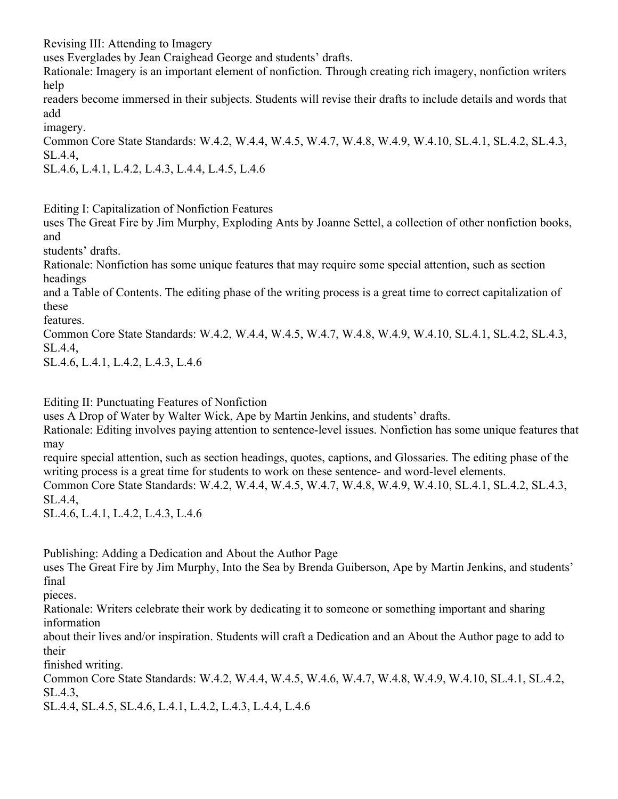Revising III: Attending to Imagery

uses Everglades by Jean Craighead George and students' drafts.

Rationale: Imagery is an important element of nonfiction. Through creating rich imagery, nonfiction writers help

readers become immersed in their subjects. Students will revise their drafts to include details and words that add

imagery.

Common Core State Standards: W.4.2, W.4.4, W.4.5, W.4.7, W.4.8, W.4.9, W.4.10, SL.4.1, SL.4.2, SL.4.3, SL.4.4,

SL.4.6, L.4.1, L.4.2, L.4.3, L.4.4, L.4.5, L.4.6

Editing I: Capitalization of Nonfiction Features

uses The Great Fire by Jim Murphy, Exploding Ants by Joanne Settel, a collection of other nonfiction books, and

students' drafts.

Rationale: Nonfiction has some unique features that may require some special attention, such as section headings

and a Table of Contents. The editing phase of the writing process is a great time to correct capitalization of these

features.

Common Core State Standards: W.4.2, W.4.4, W.4.5, W.4.7, W.4.8, W.4.9, W.4.10, SL.4.1, SL.4.2, SL.4.3, SL.4.4,

SL.4.6, L.4.1, L.4.2, L.4.3, L.4.6

Editing II: Punctuating Features of Nonfiction

uses A Drop of Water by Walter Wick, Ape by Martin Jenkins, and students' drafts.

Rationale: Editing involves paying attention to sentence-level issues. Nonfiction has some unique features that may

require special attention, such as section headings, quotes, captions, and Glossaries. The editing phase of the writing process is a great time for students to work on these sentence- and word-level elements.

Common Core State Standards: W.4.2, W.4.4, W.4.5, W.4.7, W.4.8, W.4.9, W.4.10, SL.4.1, SL.4.2, SL.4.3, SL.4.4,

SL.4.6, L.4.1, L.4.2, L.4.3, L.4.6

Publishing: Adding a Dedication and About the Author Page

uses The Great Fire by Jim Murphy, Into the Sea by Brenda Guiberson, Ape by Martin Jenkins, and students' final

pieces.

Rationale: Writers celebrate their work by dedicating it to someone or something important and sharing information

about their lives and/or inspiration. Students will craft a Dedication and an About the Author page to add to their

finished writing.

Common Core State Standards: W.4.2, W.4.4, W.4.5, W.4.6, W.4.7, W.4.8, W.4.9, W.4.10, SL.4.1, SL.4.2, SL.4.3,

SL.4.4, SL.4.5, SL.4.6, L.4.1, L.4.2, L.4.3, L.4.4, L.4.6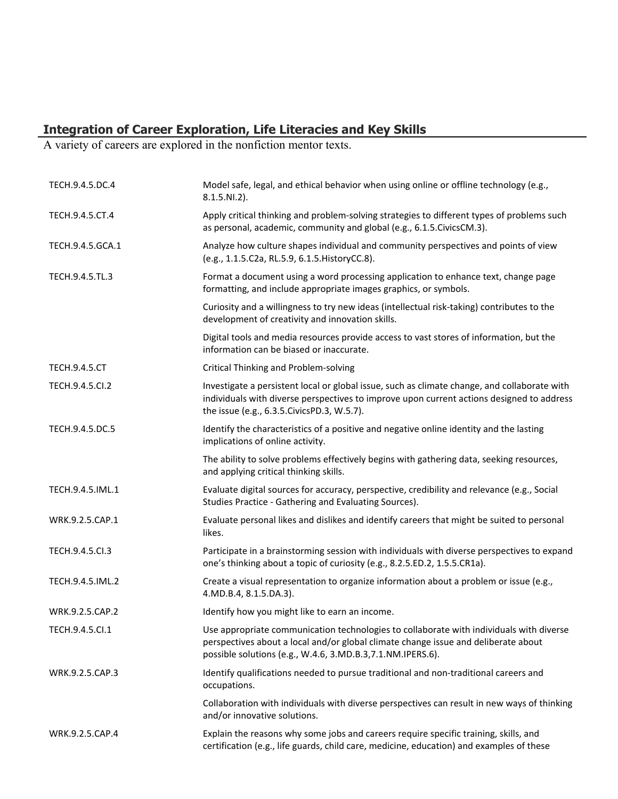## **Integration of Career Exploration, Life Literacies and Key Skills**

A variety of careers are explored in the nonfiction mentor texts.

| TECH.9.4.5.DC.4      | Model safe, legal, and ethical behavior when using online or offline technology (e.g.,<br>$8.1.5.NI.2$ ).                                                                                                                                    |
|----------------------|----------------------------------------------------------------------------------------------------------------------------------------------------------------------------------------------------------------------------------------------|
| TECH.9.4.5.CT.4      | Apply critical thinking and problem-solving strategies to different types of problems such<br>as personal, academic, community and global (e.g., 6.1.5. Civics CM.3).                                                                        |
| TECH.9.4.5.GCA.1     | Analyze how culture shapes individual and community perspectives and points of view<br>(e.g., 1.1.5.C2a, RL.5.9, 6.1.5. HistoryCC.8).                                                                                                        |
| TECH.9.4.5.TL.3      | Format a document using a word processing application to enhance text, change page<br>formatting, and include appropriate images graphics, or symbols.                                                                                       |
|                      | Curiosity and a willingness to try new ideas (intellectual risk-taking) contributes to the<br>development of creativity and innovation skills.                                                                                               |
|                      | Digital tools and media resources provide access to vast stores of information, but the<br>information can be biased or inaccurate.                                                                                                          |
| <b>TECH.9.4.5.CT</b> | <b>Critical Thinking and Problem-solving</b>                                                                                                                                                                                                 |
| TECH.9.4.5.Cl.2      | Investigate a persistent local or global issue, such as climate change, and collaborate with<br>individuals with diverse perspectives to improve upon current actions designed to address<br>the issue (e.g., 6.3.5. Civics PD.3, W.5.7).    |
| TECH.9.4.5.DC.5      | Identify the characteristics of a positive and negative online identity and the lasting<br>implications of online activity.                                                                                                                  |
|                      | The ability to solve problems effectively begins with gathering data, seeking resources,<br>and applying critical thinking skills.                                                                                                           |
| TECH.9.4.5.IML.1     | Evaluate digital sources for accuracy, perspective, credibility and relevance (e.g., Social<br>Studies Practice - Gathering and Evaluating Sources).                                                                                         |
| WRK.9.2.5.CAP.1      | Evaluate personal likes and dislikes and identify careers that might be suited to personal<br>likes.                                                                                                                                         |
| TECH.9.4.5.Cl.3      | Participate in a brainstorming session with individuals with diverse perspectives to expand<br>one's thinking about a topic of curiosity (e.g., 8.2.5.ED.2, 1.5.5.CR1a).                                                                     |
| TECH.9.4.5.IML.2     | Create a visual representation to organize information about a problem or issue (e.g.,<br>4.MD.B.4, 8.1.5.DA.3).                                                                                                                             |
| WRK.9.2.5.CAP.2      | Identify how you might like to earn an income.                                                                                                                                                                                               |
| TECH.9.4.5.Cl.1      | Use appropriate communication technologies to collaborate with individuals with diverse<br>perspectives about a local and/or global climate change issue and deliberate about<br>possible solutions (e.g., W.4.6, 3.MD.B.3, 7.1.NM.IPERS.6). |
| WRK.9.2.5.CAP.3      | Identify qualifications needed to pursue traditional and non-traditional careers and<br>occupations.                                                                                                                                         |
|                      | Collaboration with individuals with diverse perspectives can result in new ways of thinking<br>and/or innovative solutions.                                                                                                                  |
| WRK.9.2.5.CAP.4      | Explain the reasons why some jobs and careers require specific training, skills, and<br>certification (e.g., life guards, child care, medicine, education) and examples of these                                                             |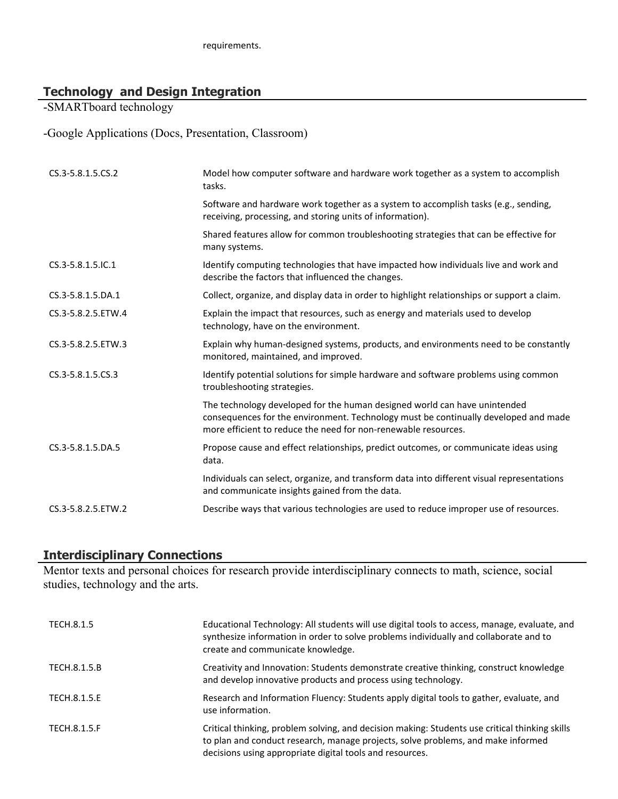# **Technology and Design Integration**

-SMARTboard technology

-Google Applications (Docs, Presentation, Classroom)

| CS.3-5.8.1.5.CS.2  | Model how computer software and hardware work together as a system to accomplish<br>tasks.                                                                                                                                         |
|--------------------|------------------------------------------------------------------------------------------------------------------------------------------------------------------------------------------------------------------------------------|
|                    | Software and hardware work together as a system to accomplish tasks (e.g., sending,<br>receiving, processing, and storing units of information).                                                                                   |
|                    | Shared features allow for common troubleshooting strategies that can be effective for<br>many systems.                                                                                                                             |
| CS.3-5.8.1.5.IC.1  | Identify computing technologies that have impacted how individuals live and work and<br>describe the factors that influenced the changes.                                                                                          |
| CS.3-5.8.1.5.DA.1  | Collect, organize, and display data in order to highlight relationships or support a claim.                                                                                                                                        |
| CS.3-5.8.2.5.ETW.4 | Explain the impact that resources, such as energy and materials used to develop<br>technology, have on the environment.                                                                                                            |
| CS.3-5.8.2.5.ETW.3 | Explain why human-designed systems, products, and environments need to be constantly<br>monitored, maintained, and improved.                                                                                                       |
| CS.3-5.8.1.5.CS.3  | Identify potential solutions for simple hardware and software problems using common<br>troubleshooting strategies.                                                                                                                 |
|                    | The technology developed for the human designed world can have unintended<br>consequences for the environment. Technology must be continually developed and made<br>more efficient to reduce the need for non-renewable resources. |
| CS.3-5.8.1.5.DA.5  | Propose cause and effect relationships, predict outcomes, or communicate ideas using<br>data.                                                                                                                                      |
|                    | Individuals can select, organize, and transform data into different visual representations<br>and communicate insights gained from the data.                                                                                       |
| CS.3-5.8.2.5.ETW.2 | Describe ways that various technologies are used to reduce improper use of resources.                                                                                                                                              |

### **Interdisciplinary Connections**

Mentor texts and personal choices for research provide interdisciplinary connects to math, science, social studies, technology and the arts.

| TECH.8.1.5   | Educational Technology: All students will use digital tools to access, manage, evaluate, and<br>synthesize information in order to solve problems individually and collaborate and to<br>create and communicate knowledge.                     |
|--------------|------------------------------------------------------------------------------------------------------------------------------------------------------------------------------------------------------------------------------------------------|
| TECH.8.1.5.B | Creativity and Innovation: Students demonstrate creative thinking, construct knowledge<br>and develop innovative products and process using technology.                                                                                        |
| TECH.8.1.5.E | Research and Information Fluency: Students apply digital tools to gather, evaluate, and<br>use information.                                                                                                                                    |
| TECH.8.1.5.F | Critical thinking, problem solving, and decision making: Students use critical thinking skills<br>to plan and conduct research, manage projects, solve problems, and make informed<br>decisions using appropriate digital tools and resources. |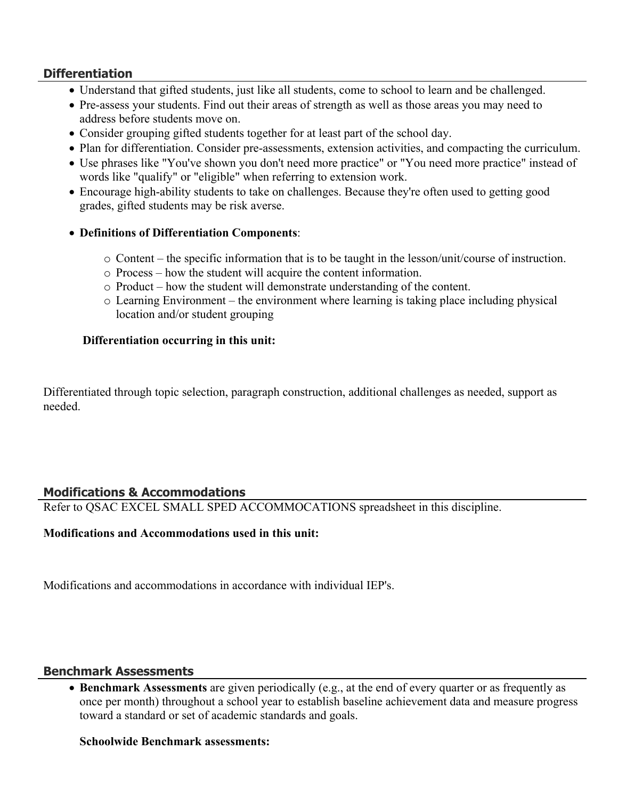## **Differentiation**

- Understand that gifted students, just like all students, come to school to learn and be challenged.
- Pre-assess your students. Find out their areas of strength as well as those areas you may need to address before students move on.
- Consider grouping gifted students together for at least part of the school day.
- Plan for differentiation. Consider pre-assessments, extension activities, and compacting the curriculum.
- Use phrases like "You've shown you don't need more practice" or "You need more practice" instead of words like "qualify" or "eligible" when referring to extension work.
- Encourage high-ability students to take on challenges. Because they're often used to getting good grades, gifted students may be risk averse.
- **Definitions of Differentiation Components**:
	- o Content the specific information that is to be taught in the lesson/unit/course of instruction.
	- o Process how the student will acquire the content information.
	- o Product how the student will demonstrate understanding of the content.
	- o Learning Environment the environment where learning is taking place including physical location and/or student grouping

#### **Differentiation occurring in this unit:**

Differentiated through topic selection, paragraph construction, additional challenges as needed, support as needed.

#### **Modifications & Accommodations**

Refer to QSAC EXCEL SMALL SPED ACCOMMOCATIONS spreadsheet in this discipline.

#### **Modifications and Accommodations used in this unit:**

Modifications and accommodations in accordance with individual IEP's.

#### **Benchmark Assessments**

 **Benchmark Assessments** are given periodically (e.g., at the end of every quarter or as frequently as once per month) throughout a school year to establish baseline achievement data and measure progress toward a standard or set of academic standards and goals.

#### **Schoolwide Benchmark assessments:**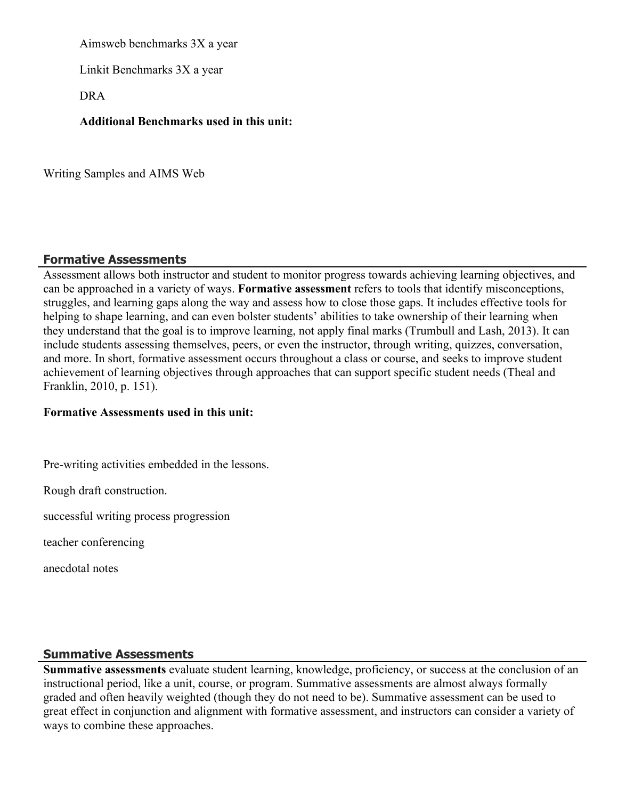Aimsweb benchmarks 3X a year

Linkit Benchmarks 3X a year

DRA

**Additional Benchmarks used in this unit:**

Writing Samples and AIMS Web

# **Formative Assessments**

Assessment allows both instructor and student to monitor progress towards achieving learning objectives, and can be approached in a variety of ways. **Formative assessment** refers to tools that identify misconceptions, struggles, and learning gaps along the way and assess how to close those gaps. It includes effective tools for helping to shape learning, and can even bolster students' abilities to take ownership of their learning when they understand that the goal is to improve learning, not apply final marks (Trumbull and Lash, 2013). It can include students assessing themselves, peers, or even the instructor, through writing, quizzes, conversation, and more. In short, formative assessment occurs throughout a class or course, and seeks to improve student achievement of learning objectives through approaches that can support specific student needs (Theal and Franklin, 2010, p. 151).

#### **Formative Assessments used in this unit:**

Pre-writing activities embedded in the lessons.

Rough draft construction.

successful writing process progression

teacher conferencing

anecdotal notes

#### **Summative Assessments**

**Summative assessments** evaluate student learning, knowledge, proficiency, or success at the conclusion of an instructional period, like a unit, course, or program. Summative assessments are almost always formally graded and often heavily weighted (though they do not need to be). Summative assessment can be used to great effect in conjunction and alignment with formative assessment, and instructors can consider a variety of ways to combine these approaches.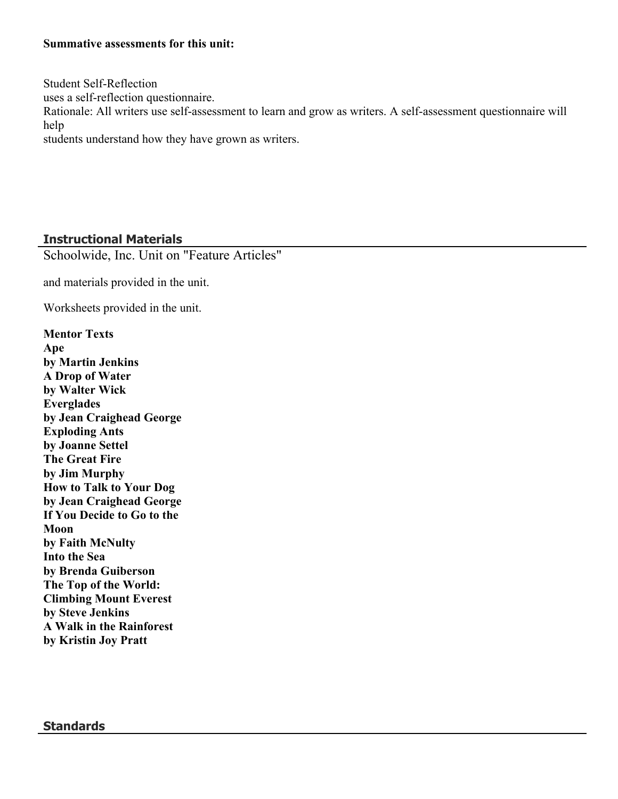#### **Summative assessments for this unit:**

Student Self-Reflection uses a self-reflection questionnaire. Rationale: All writers use self-assessment to learn and grow as writers. A self-assessment questionnaire will help students understand how they have grown as writers.

#### **Instructional Materials**

Schoolwide, Inc. Unit on "Feature Articles"

and materials provided in the unit.

Worksheets provided in the unit.

**Mentor Texts Ape by Martin Jenkins A Drop of Water by Walter Wick Everglades by Jean Craighead George Exploding Ants by Joanne Settel The Great Fire by Jim Murphy How to Talk to Your Dog by Jean Craighead George If You Decide to Go to the Moon by Faith McNulty Into the Sea by Brenda Guiberson The Top of the World: Climbing Mount Everest by Steve Jenkins A Walk in the Rainforest by Kristin Joy Pratt**

#### **Standards**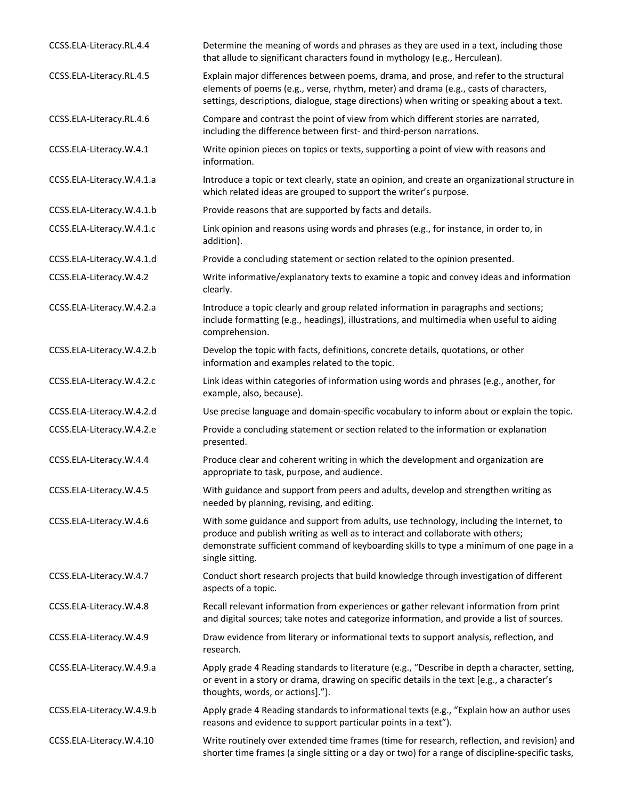| CCSS.ELA-Literacy.RL.4.4  | Determine the meaning of words and phrases as they are used in a text, including those<br>that allude to significant characters found in mythology (e.g., Herculean).                                                                                                                   |
|---------------------------|-----------------------------------------------------------------------------------------------------------------------------------------------------------------------------------------------------------------------------------------------------------------------------------------|
| CCSS.ELA-Literacy.RL.4.5  | Explain major differences between poems, drama, and prose, and refer to the structural<br>elements of poems (e.g., verse, rhythm, meter) and drama (e.g., casts of characters,<br>settings, descriptions, dialogue, stage directions) when writing or speaking about a text.            |
| CCSS.ELA-Literacy.RL.4.6  | Compare and contrast the point of view from which different stories are narrated,<br>including the difference between first- and third-person narrations.                                                                                                                               |
| CCSS.ELA-Literacy.W.4.1   | Write opinion pieces on topics or texts, supporting a point of view with reasons and<br>information.                                                                                                                                                                                    |
| CCSS.ELA-Literacy.W.4.1.a | Introduce a topic or text clearly, state an opinion, and create an organizational structure in<br>which related ideas are grouped to support the writer's purpose.                                                                                                                      |
| CCSS.ELA-Literacy.W.4.1.b | Provide reasons that are supported by facts and details.                                                                                                                                                                                                                                |
| CCSS.ELA-Literacy.W.4.1.c | Link opinion and reasons using words and phrases (e.g., for instance, in order to, in<br>addition).                                                                                                                                                                                     |
| CCSS.ELA-Literacy.W.4.1.d | Provide a concluding statement or section related to the opinion presented.                                                                                                                                                                                                             |
| CCSS.ELA-Literacy.W.4.2   | Write informative/explanatory texts to examine a topic and convey ideas and information<br>clearly.                                                                                                                                                                                     |
| CCSS.ELA-Literacy.W.4.2.a | Introduce a topic clearly and group related information in paragraphs and sections;<br>include formatting (e.g., headings), illustrations, and multimedia when useful to aiding<br>comprehension.                                                                                       |
| CCSS.ELA-Literacy.W.4.2.b | Develop the topic with facts, definitions, concrete details, quotations, or other<br>information and examples related to the topic.                                                                                                                                                     |
| CCSS.ELA-Literacy.W.4.2.c | Link ideas within categories of information using words and phrases (e.g., another, for<br>example, also, because).                                                                                                                                                                     |
| CCSS.ELA-Literacy.W.4.2.d | Use precise language and domain-specific vocabulary to inform about or explain the topic.                                                                                                                                                                                               |
| CCSS.ELA-Literacy.W.4.2.e | Provide a concluding statement or section related to the information or explanation<br>presented.                                                                                                                                                                                       |
| CCSS.ELA-Literacy.W.4.4   | Produce clear and coherent writing in which the development and organization are<br>appropriate to task, purpose, and audience.                                                                                                                                                         |
| CCSS.ELA-Literacy.W.4.5   | With guidance and support from peers and adults, develop and strengthen writing as<br>needed by planning, revising, and editing.                                                                                                                                                        |
| CCSS.ELA-Literacy.W.4.6   | With some guidance and support from adults, use technology, including the Internet, to<br>produce and publish writing as well as to interact and collaborate with others;<br>demonstrate sufficient command of keyboarding skills to type a minimum of one page in a<br>single sitting. |
| CCSS.ELA-Literacy.W.4.7   | Conduct short research projects that build knowledge through investigation of different<br>aspects of a topic.                                                                                                                                                                          |
| CCSS.ELA-Literacy.W.4.8   | Recall relevant information from experiences or gather relevant information from print<br>and digital sources; take notes and categorize information, and provide a list of sources.                                                                                                    |
| CCSS.ELA-Literacy.W.4.9   | Draw evidence from literary or informational texts to support analysis, reflection, and<br>research.                                                                                                                                                                                    |
| CCSS.ELA-Literacy.W.4.9.a | Apply grade 4 Reading standards to literature (e.g., "Describe in depth a character, setting,<br>or event in a story or drama, drawing on specific details in the text [e.g., a character's<br>thoughts, words, or actions].").                                                         |
| CCSS.ELA-Literacy.W.4.9.b | Apply grade 4 Reading standards to informational texts (e.g., "Explain how an author uses<br>reasons and evidence to support particular points in a text").                                                                                                                             |
| CCSS.ELA-Literacy.W.4.10  | Write routinely over extended time frames (time for research, reflection, and revision) and<br>shorter time frames (a single sitting or a day or two) for a range of discipline-specific tasks,                                                                                         |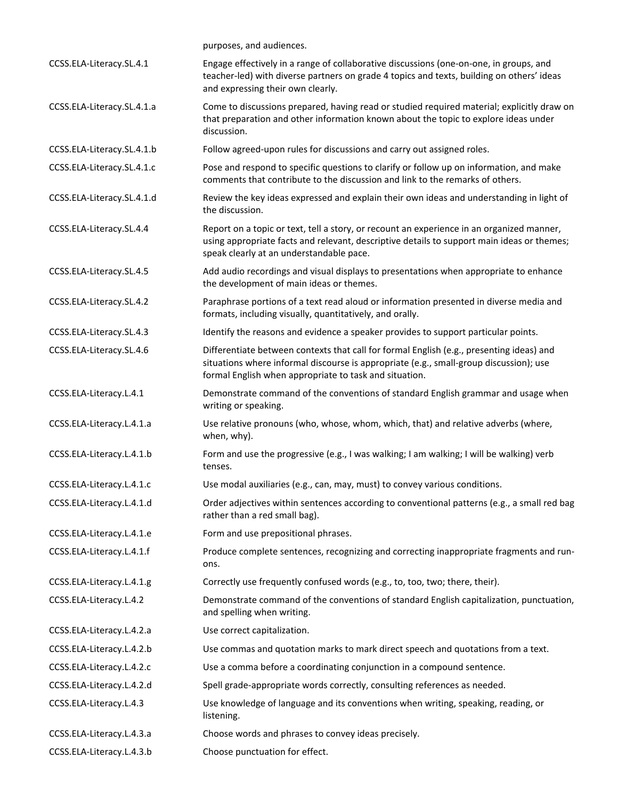|                            | purposes, and audiences.                                                                                                                                                                                                                     |
|----------------------------|----------------------------------------------------------------------------------------------------------------------------------------------------------------------------------------------------------------------------------------------|
| CCSS.ELA-Literacy.SL.4.1   | Engage effectively in a range of collaborative discussions (one-on-one, in groups, and<br>teacher-led) with diverse partners on grade 4 topics and texts, building on others' ideas<br>and expressing their own clearly.                     |
| CCSS.ELA-Literacy.SL.4.1.a | Come to discussions prepared, having read or studied required material; explicitly draw on<br>that preparation and other information known about the topic to explore ideas under<br>discussion.                                             |
| CCSS.ELA-Literacy.SL.4.1.b | Follow agreed-upon rules for discussions and carry out assigned roles.                                                                                                                                                                       |
| CCSS.ELA-Literacy.SL.4.1.c | Pose and respond to specific questions to clarify or follow up on information, and make<br>comments that contribute to the discussion and link to the remarks of others.                                                                     |
| CCSS.ELA-Literacy.SL.4.1.d | Review the key ideas expressed and explain their own ideas and understanding in light of<br>the discussion.                                                                                                                                  |
| CCSS.ELA-Literacy.SL.4.4   | Report on a topic or text, tell a story, or recount an experience in an organized manner,<br>using appropriate facts and relevant, descriptive details to support main ideas or themes;<br>speak clearly at an understandable pace.          |
| CCSS.ELA-Literacy.SL.4.5   | Add audio recordings and visual displays to presentations when appropriate to enhance<br>the development of main ideas or themes.                                                                                                            |
| CCSS.ELA-Literacy.SL.4.2   | Paraphrase portions of a text read aloud or information presented in diverse media and<br>formats, including visually, quantitatively, and orally.                                                                                           |
| CCSS.ELA-Literacy.SL.4.3   | Identify the reasons and evidence a speaker provides to support particular points.                                                                                                                                                           |
| CCSS.ELA-Literacy.SL.4.6   | Differentiate between contexts that call for formal English (e.g., presenting ideas) and<br>situations where informal discourse is appropriate (e.g., small-group discussion); use<br>formal English when appropriate to task and situation. |
| CCSS.ELA-Literacy.L.4.1    | Demonstrate command of the conventions of standard English grammar and usage when<br>writing or speaking.                                                                                                                                    |
| CCSS.ELA-Literacy.L.4.1.a  | Use relative pronouns (who, whose, whom, which, that) and relative adverbs (where,<br>when, why).                                                                                                                                            |
| CCSS.ELA-Literacy.L.4.1.b  | Form and use the progressive (e.g., I was walking; I am walking; I will be walking) verb<br>tenses.                                                                                                                                          |
| CCSS.ELA-Literacy.L.4.1.c  | Use modal auxiliaries (e.g., can, may, must) to convey various conditions.                                                                                                                                                                   |
| CCSS.ELA-Literacy.L.4.1.d  | Order adjectives within sentences according to conventional patterns (e.g., a small red bag<br>rather than a red small bag).                                                                                                                 |
| CCSS.ELA-Literacy.L.4.1.e  | Form and use prepositional phrases.                                                                                                                                                                                                          |
| CCSS.ELA-Literacy.L.4.1.f  | Produce complete sentences, recognizing and correcting inappropriate fragments and run-<br>ons.                                                                                                                                              |
| CCSS.ELA-Literacy.L.4.1.g  | Correctly use frequently confused words (e.g., to, too, two; there, their).                                                                                                                                                                  |
| CCSS.ELA-Literacy.L.4.2    | Demonstrate command of the conventions of standard English capitalization, punctuation,<br>and spelling when writing.                                                                                                                        |
| CCSS.ELA-Literacy.L.4.2.a  | Use correct capitalization.                                                                                                                                                                                                                  |
| CCSS.ELA-Literacy.L.4.2.b  | Use commas and quotation marks to mark direct speech and quotations from a text.                                                                                                                                                             |
| CCSS.ELA-Literacy.L.4.2.c  | Use a comma before a coordinating conjunction in a compound sentence.                                                                                                                                                                        |
| CCSS.ELA-Literacy.L.4.2.d  | Spell grade-appropriate words correctly, consulting references as needed.                                                                                                                                                                    |
| CCSS.ELA-Literacy.L.4.3    | Use knowledge of language and its conventions when writing, speaking, reading, or<br>listening.                                                                                                                                              |
| CCSS.ELA-Literacy.L.4.3.a  | Choose words and phrases to convey ideas precisely.                                                                                                                                                                                          |
| CCSS.ELA-Literacy.L.4.3.b  | Choose punctuation for effect.                                                                                                                                                                                                               |